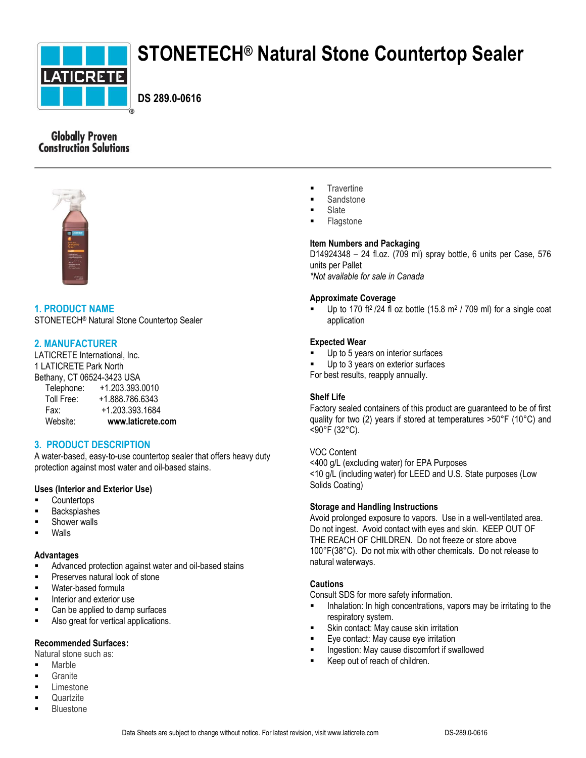

# **STONETECH® Natural Stone Countertop Sealer**

**DS 289.0-0616**

# **Globally Proven Construction Solutions**



# **1. PRODUCT NAME**

STONETECH® Natural Stone Countertop Sealer

# **2. MANUFACTURER**

LATICRETE International, Inc. 1 LATICRETE Park North Bethany, CT 06524-3423 USA

| Telephone: | +1.203.393.0010   |
|------------|-------------------|
| Toll Free: | +1.888.786.6343   |
| Fax:       | +1.203.393.1684   |
| Website:   | www.laticrete.com |

# **3. PRODUCT DESCRIPTION**

A water-based, easy-to-use countertop sealer that offers heavy duty protection against most water and oil-based stains.

# **Uses (Interior and Exterior Use)**

- **Countertops**
- Backsplashes
- Shower walls
- Walls

## **Advantages**

- Advanced protection against water and oil-based stains
- **Preserves natural look of stone**
- **Water-based formula**
- **Interior and exterior use**
- Can be applied to damp surfaces
- **Also great for vertical applications.**

## **Recommended Surfaces:**

Natural stone such as:

- Marble
- Granite
- Limestone
- **Quartzite**
- Bluestone
- **Travertine**
- **Sandstone**
- Slate
- Flagstone

# **Item Numbers and Packaging**

D14924348 – 24 fl.oz. (709 ml) spray bottle, 6 units per Case, 576 units per Pallet *\*Not available for sale in Canada*

# **Approximate Coverage**

Up to 170 ft<sup>2</sup> /24 fl oz bottle  $(15.8 \text{ m}^2 / 709 \text{ ml})$  for a single coat application

## **Expected Wear**

- Up to 5 years on interior surfaces
- Up to 3 years on exterior surfaces
- For best results, reapply annually.

## **Shelf Life**

Factory sealed containers of this product are guaranteed to be of first quality for two (2) years if stored at temperatures >50°F (10°C) and <90°F (32°C).

## VOC Content

<400 g/L (excluding water) for EPA Purposes <10 g/L (including water) for LEED and U.S. State purposes (Low Solids Coating)

## **Storage and Handling Instructions**

Avoid prolonged exposure to vapors. Use in a well-ventilated area. Do not ingest. Avoid contact with eyes and skin. KEEP OUT OF THE REACH OF CHILDREN. Do not freeze or store above 100°F(38°C). Do not mix with other chemicals. Do not release to natural waterways.

# **Cautions**

Consult SDS for more safety information.

- **Inhalation:** In high concentrations, vapors may be irritating to the respiratory system.
- Skin contact: May cause skin irritation
- Eye contact: May cause eye irritation
- Ingestion: May cause discomfort if swallowed
- Keep out of reach of children.